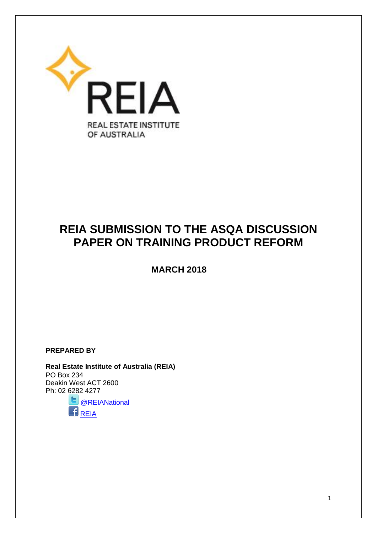

# **REIA SUBMISSION TO THE ASQA DISCUSSION PAPER ON TRAINING PRODUCT REFORM**

 **MARCH 2018**

**PREPARED BY**

**Real Estate Institute of Australia (REIA)**  PO Box 234 Deakin West ACT 2600 Ph: 02 6282 4277

6, [@REIANational](https://twitter.com/REIANational)  $\mathbf{B}_{\text{REIA}}$  $\mathbf{B}_{\text{REIA}}$  $\mathbf{B}_{\text{REIA}}$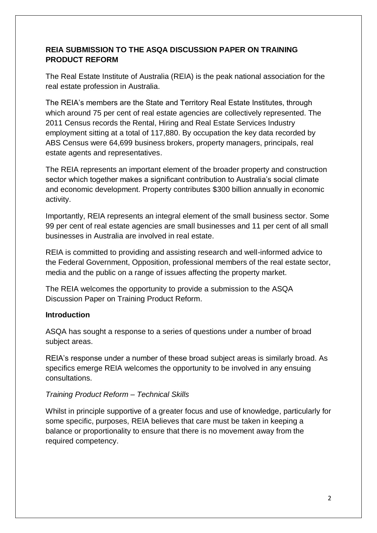### **REIA SUBMISSION TO THE ASQA DISCUSSION PAPER ON TRAINING PRODUCT REFORM**

The Real Estate Institute of Australia (REIA) is the peak national association for the real estate profession in Australia.

The REIA's members are the State and Territory Real Estate Institutes, through which around 75 per cent of real estate agencies are collectively represented. The 2011 Census records the Rental, Hiring and Real Estate Services Industry employment sitting at a total of 117,880. By occupation the key data recorded by ABS Census were 64,699 business brokers, property managers, principals, real estate agents and representatives.

The REIA represents an important element of the broader property and construction sector which together makes a significant contribution to Australia's social climate and economic development. Property contributes \$300 billion annually in economic activity.

Importantly, REIA represents an integral element of the small business sector. Some 99 per cent of real estate agencies are small businesses and 11 per cent of all small businesses in Australia are involved in real estate.

REIA is committed to providing and assisting research and well-informed advice to the Federal Government, Opposition, professional members of the real estate sector, media and the public on a range of issues affecting the property market.

The REIA welcomes the opportunity to provide a submission to the ASQA Discussion Paper on Training Product Reform.

# **Introduction**

ASQA has sought a response to a series of questions under a number of broad subject areas.

REIA's response under a number of these broad subject areas is similarly broad. As specifics emerge REIA welcomes the opportunity to be involved in any ensuing consultations.

# *Training Product Reform – Technical Skills*

Whilst in principle supportive of a greater focus and use of knowledge, particularly for some specific, purposes, REIA believes that care must be taken in keeping a balance or proportionality to ensure that there is no movement away from the required competency.